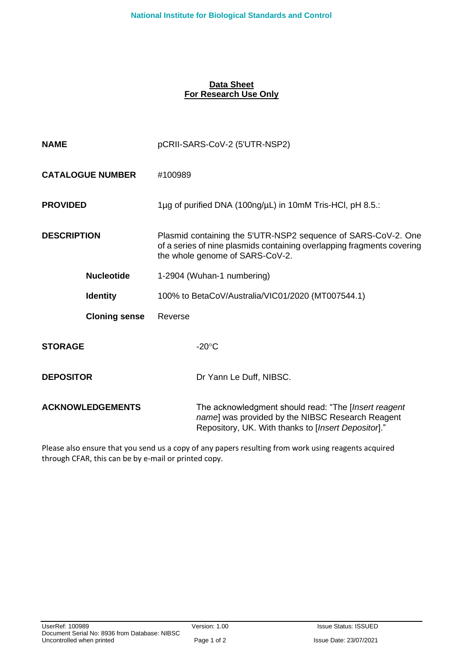## **Data Sheet For Research Use Only**

| <b>NAME</b>             | pCRII-SARS-CoV-2 (5'UTR-NSP2)                                                                                                                                              |  |  |
|-------------------------|----------------------------------------------------------------------------------------------------------------------------------------------------------------------------|--|--|
| <b>CATALOGUE NUMBER</b> | #100989                                                                                                                                                                    |  |  |
| <b>PROVIDED</b>         | 1µg of purified DNA (100ng/µL) in 10mM Tris-HCl, pH 8.5.:                                                                                                                  |  |  |
| <b>DESCRIPTION</b>      | Plasmid containing the 5'UTR-NSP2 sequence of SARS-CoV-2. One<br>of a series of nine plasmids containing overlapping fragments covering<br>the whole genome of SARS-CoV-2. |  |  |
| <b>Nucleotide</b>       | 1-2904 (Wuhan-1 numbering)                                                                                                                                                 |  |  |
| <b>Identity</b>         | 100% to BetaCoV/Australia/VIC01/2020 (MT007544.1)                                                                                                                          |  |  |
| <b>Cloning sense</b>    | Reverse                                                                                                                                                                    |  |  |
| <b>STORAGE</b>          | $-20^{\circ}$ C                                                                                                                                                            |  |  |
| <b>DEPOSITOR</b>        | Dr Yann Le Duff, NIBSC.                                                                                                                                                    |  |  |
| <b>ACKNOWLEDGEMENTS</b> | The acknowledgment should read: "The [Insert reagent<br>name] was provided by the NIBSC Research Reagent<br>Repository, UK. With thanks to [Insert Depositor]."            |  |  |

Please also ensure that you send us a copy of any papers resulting from work using reagents acquired through CFAR, this can be by e-mail or printed copy.